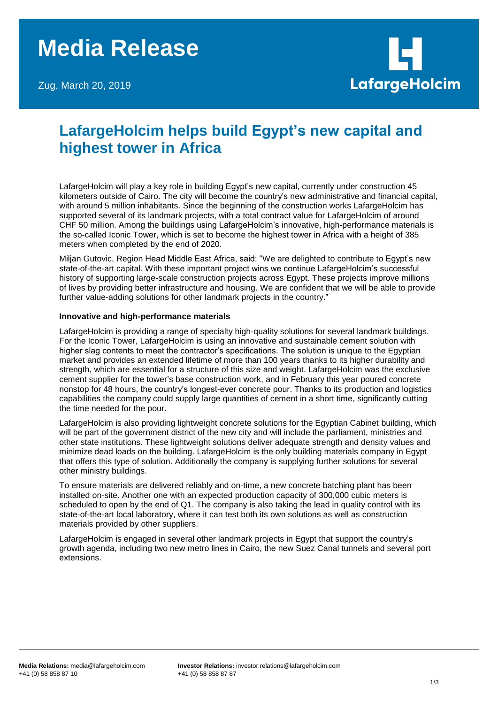# **Media Release**

Zug, March 20, 2019



# **LafargeHolcim helps build Egypt's new capital and highest tower in Africa**

LafargeHolcim will play a key role in building Egypt's new capital, currently under construction 45 kilometers outside of Cairo. The city will become the country's new administrative and financial capital, with around 5 million inhabitants. Since the beginning of the construction works LafargeHolcim has supported several of its landmark projects, with a total contract value for LafargeHolcim of around CHF 50 million. Among the buildings using LafargeHolcim's innovative, high-performance materials is the so-called Iconic Tower, which is set to become the highest tower in Africa with a height of 385 meters when completed by the end of 2020.

Miljan Gutovic, Region Head Middle East Africa, said: "We are delighted to contribute to Egypt's new state-of-the-art capital. With these important project wins we continue LafargeHolcim's successful history of supporting large-scale construction projects across Egypt. These projects improve millions of lives by providing better infrastructure and housing. We are confident that we will be able to provide further value-adding solutions for other landmark projects in the country."

### **Innovative and high-performance materials**

LafargeHolcim is providing a range of specialty high-quality solutions for several landmark buildings. For the Iconic Tower, LafargeHolcim is using an innovative and sustainable cement solution with higher slag contents to meet the contractor's specifications. The solution is unique to the Egyptian market and provides an extended lifetime of more than 100 years thanks to its higher durability and strength, which are essential for a structure of this size and weight. LafargeHolcim was the exclusive cement supplier for the tower's base construction work, and in February this year poured concrete nonstop for 48 hours, the country's longest-ever concrete pour. Thanks to its production and logistics capabilities the company could supply large quantities of cement in a short time, significantly cutting the time needed for the pour.

LafargeHolcim is also providing lightweight concrete solutions for the Egyptian Cabinet building, which will be part of the government district of the new city and will include the parliament, ministries and other state institutions. These lightweight solutions deliver adequate strength and density values and minimize dead loads on the building. LafargeHolcim is the only building materials company in Egypt that offers this type of solution. Additionally the company is supplying further solutions for several other ministry buildings.

To ensure materials are delivered reliably and on-time, a new concrete batching plant has been installed on-site. Another one with an expected production capacity of 300,000 cubic meters is scheduled to open by the end of Q1. The company is also taking the lead in quality control with its state-of-the-art local laboratory, where it can test both its own solutions as well as construction materials provided by other suppliers.

LafargeHolcim is engaged in several other landmark projects in Egypt that support the country's growth agenda, including two new metro lines in Cairo, the new Suez Canal tunnels and several port extensions.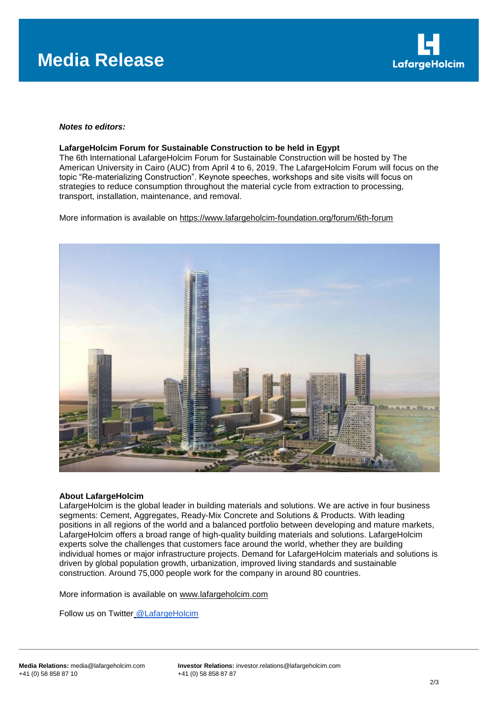

### *Notes to editors:*

#### **LafargeHolcim Forum for Sustainable Construction to be held in Egypt**

The 6th International LafargeHolcim Forum for Sustainable Construction will be hosted by The American University in Cairo (AUC) from April 4 to 6, 2019. The LafargeHolcim Forum will focus on the topic "Re-materializing Construction". Keynote speeches, workshops and site visits will focus on strategies to reduce consumption throughout the material cycle from extraction to processing, transport, installation, maintenance, and removal.

More information is available on<https://www.lafargeholcim-foundation.org/forum/6th-forum>



#### **About LafargeHolcim**

LafargeHolcim is the global leader in building materials and solutions. We are active in four business segments: Cement, Aggregates, Ready-Mix Concrete and Solutions & Products. With leading positions in all regions of the world and a balanced portfolio between developing and mature markets, LafargeHolcim offers a broad range of high-quality building materials and solutions. LafargeHolcim experts solve the challenges that customers face around the world, whether they are building individual homes or major infrastructure projects. Demand for LafargeHolcim materials and solutions is driven by global population growth, urbanization, improved living standards and sustainable construction. Around 75,000 people work for the company in around 80 countries.

More information is available on [www.lafargeholcim.com](http://www.lafargeholcim.com/)

Follow us on Twitter [@LafargeHolcim](https://twitter.com/lafargeholcim)